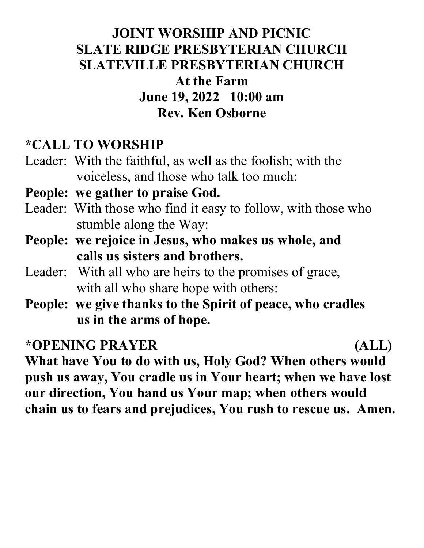## JOINT WORSHIP AND PICNIC SLATE RIDGE PRESBYTERIAN CHURCH SLATEVILLE PRESBYTERIAN CHURCH At the Farm June 19, 2022 10:00 am Rev. Ken Osborne

### \*CALL TO WORSHIP

Leader: With the faithful, as well as the foolish; with the voiceless, and those who talk too much:

#### People: we gather to praise God.

- Leader: With those who find it easy to follow, with those who stumble along the Way:
- People: we rejoice in Jesus, who makes us whole, and calls us sisters and brothers.
- Leader: With all who are heirs to the promises of grace, with all who share hope with others:
- People: we give thanks to the Spirit of peace, who cradles us in the arms of hope.

### \*OPENING PRAYER (ALL)

What have You to do with us, Holy God? When others would push us away, You cradle us in Your heart; when we have lost our direction, You hand us Your map; when others would chain us to fears and prejudices, You rush to rescue us. Amen.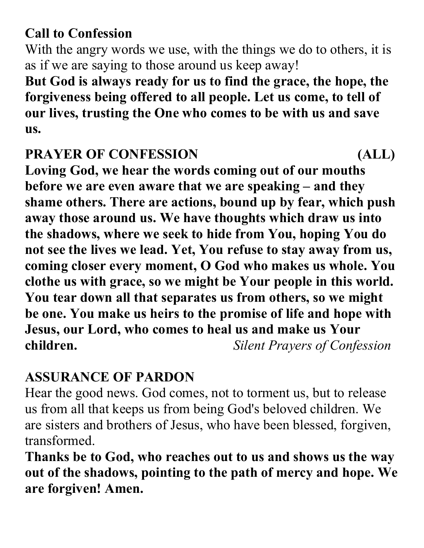# Call to Confession

With the angry words we use, with the things we do to others, it is as if we are saying to those around us keep away!

But God is always ready for us to find the grace, the hope, the forgiveness being offered to all people. Let us come, to tell of our lives, trusting the One who comes to be with us and save us.

## PRAYER OF CONFESSION (ALL)

Loving God, we hear the words coming out of our mouths before we are even aware that we are speaking – and they shame others. There are actions, bound up by fear, which push away those around us. We have thoughts which draw us into the shadows, where we seek to hide from You, hoping You do not see the lives we lead. Yet, You refuse to stay away from us, coming closer every moment, O God who makes us whole. You clothe us with grace, so we might be Your people in this world. You tear down all that separates us from others, so we might be one. You make us heirs to the promise of life and hope with Jesus, our Lord, who comes to heal us and make us Your children. Silent Prayers of Confession

# ASSURANCE OF PARDON

Hear the good news. God comes, not to torment us, but to release us from all that keeps us from being God's beloved children. We are sisters and brothers of Jesus, who have been blessed, forgiven, transformed.

Thanks be to God, who reaches out to us and shows us the way out of the shadows, pointing to the path of mercy and hope. We are forgiven! Amen.